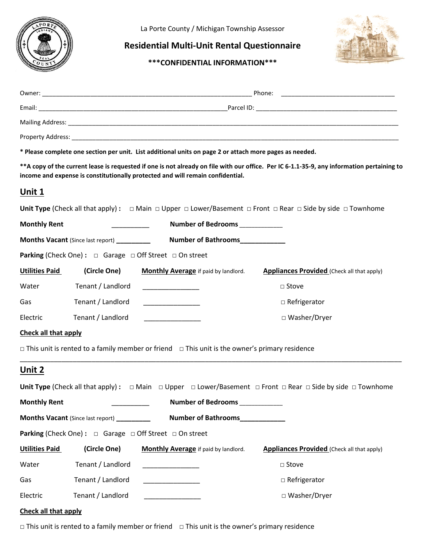

La Porte County / Michigan Township Assessor

## **Residential Multi-Unit Rental Questionnaire**

**\*\*\*CONFIDENTIAL INFORMATION\*\*\***



|                                                                                                                        |                   | * Please complete one section per unit. List additional units on page 2 or attach more pages as needed.   |                                                                                                                                               |  |  |
|------------------------------------------------------------------------------------------------------------------------|-------------------|-----------------------------------------------------------------------------------------------------------|-----------------------------------------------------------------------------------------------------------------------------------------------|--|--|
|                                                                                                                        |                   | income and expense is constitutionally protected and will remain confidential.                            | ** A copy of the current lease is requested if one is not already on file with our office. Per IC 6-1.1-35-9, any information pertaining to   |  |  |
| <u>Unit 1</u>                                                                                                          |                   |                                                                                                           |                                                                                                                                               |  |  |
|                                                                                                                        |                   |                                                                                                           | Unit Type (Check all that apply): $\Box$ Main $\Box$ Upper $\Box$ Lower/Basement $\Box$ Front $\Box$ Rear $\Box$ Side by side $\Box$ Townhome |  |  |
| <b>Monthly Rent</b><br>Number of Bedrooms<br><u>Number of Bedrooms</u><br><u> 1990 - Jan Barnett, fransk politiker</u> |                   |                                                                                                           |                                                                                                                                               |  |  |
| Number of Bathrooms____________<br><b>Months Vacant</b> (Since last report) __________                                 |                   |                                                                                                           |                                                                                                                                               |  |  |
|                                                                                                                        |                   | <b>Parking (Check One):</b> $\Box$ Garage $\Box$ Off Street $\Box$ On street                              |                                                                                                                                               |  |  |
| <b>Utilities Paid</b>                                                                                                  | (Circle One)      | <b>Monthly Average</b> if paid by landlord.                                                               | <b>Appliances Provided</b> (Check all that apply)                                                                                             |  |  |
| Water                                                                                                                  | Tenant / Landlord |                                                                                                           | $\Box$ Stove                                                                                                                                  |  |  |
| Gas                                                                                                                    | Tenant / Landlord | <u> 1980 - Jan Samuel Barbara</u>                                                                         | $\Box$ Refrigerator                                                                                                                           |  |  |
| Electric                                                                                                               | Tenant / Landlord |                                                                                                           | □ Washer/Dryer                                                                                                                                |  |  |
| <b>Check all that apply</b>                                                                                            |                   |                                                                                                           |                                                                                                                                               |  |  |
|                                                                                                                        |                   | $\Box$ This unit is rented to a family member or friend $\Box$ This unit is the owner's primary residence |                                                                                                                                               |  |  |
| Unit 2                                                                                                                 |                   |                                                                                                           |                                                                                                                                               |  |  |
|                                                                                                                        |                   |                                                                                                           | Unit Type (Check all that apply): $\Box$ Main $\Box$ Upper $\Box$ Lower/Basement $\Box$ Front $\Box$ Rear $\Box$ Side by side $\Box$ Townhome |  |  |
| <b>Monthly Rent</b>                                                                                                    |                   | <b>Number of Bedrooms</b>                                                                                 |                                                                                                                                               |  |  |
| Months Vacant (Since last report) _________                                                                            |                   | <b>Number of Bathrooms</b>                                                                                |                                                                                                                                               |  |  |
|                                                                                                                        |                   | <b>Parking (Check One):</b> $\Box$ Garage $\Box$ Off Street $\Box$ On street                              |                                                                                                                                               |  |  |
| <b>Utilities Paid</b>                                                                                                  | (Circle One)      | Monthly Average if paid by landlord.                                                                      | <b>Appliances Provided</b> (Check all that apply)                                                                                             |  |  |
| Water                                                                                                                  | Tenant / Landlord | <u> 1989 - Johann Barbara, martxa</u>                                                                     | □ Stove                                                                                                                                       |  |  |
| Gas                                                                                                                    | Tenant / Landlord |                                                                                                           | $\Box$ Refrigerator                                                                                                                           |  |  |
| Electric                                                                                                               | Tenant / Landlord |                                                                                                           | □ Washer/Dryer                                                                                                                                |  |  |
| <b>Check all that apply</b>                                                                                            |                   |                                                                                                           |                                                                                                                                               |  |  |

**□** This unit is rented to a family member or friend **□** This unit is the owner's primary residence